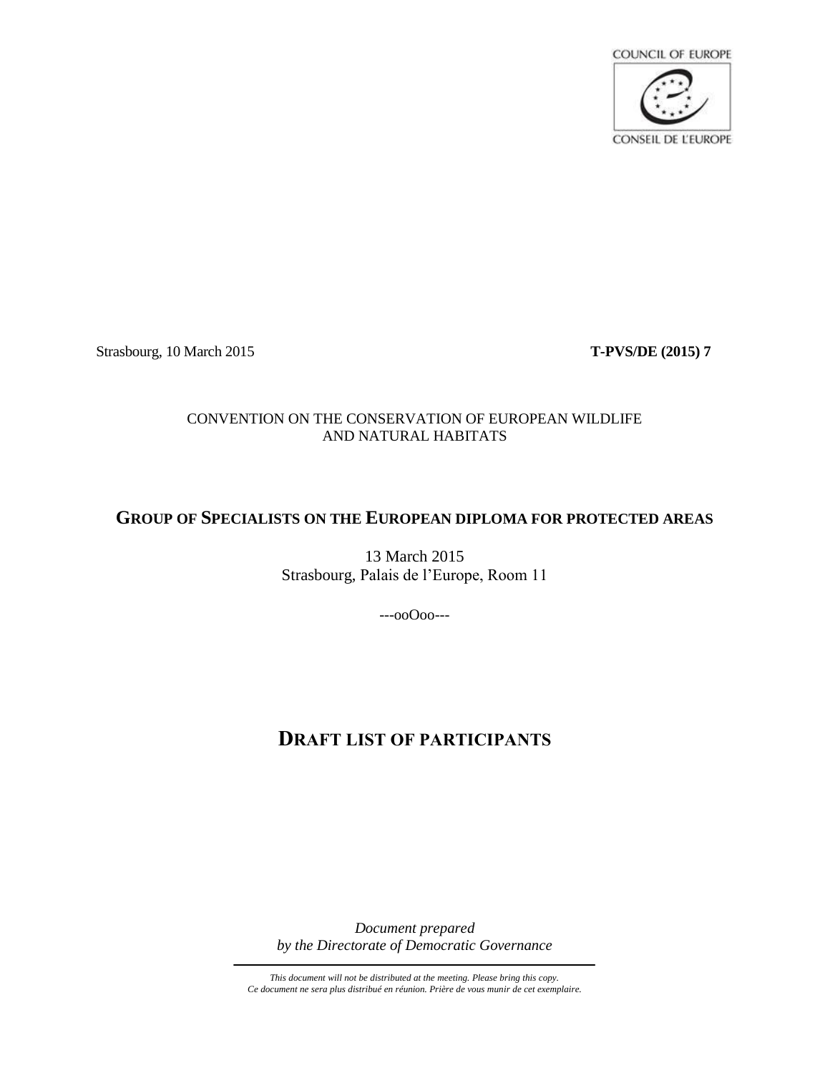

Strasbourg, 10 March 2015 **T-PVS/DE (2015) 7**

# CONVENTION ON THE CONSERVATION OF EUROPEAN WILDLIFE AND NATURAL HABITATS

# **GROUP OF SPECIALISTS ON THE EUROPEAN DIPLOMA FOR PROTECTED AREAS**

13 March 2015 Strasbourg, Palais de l'Europe, Room 11

---ooOoo---

# **DRAFT LIST OF PARTICIPANTS**

*Document prepared by the Directorate of Democratic Governance*

*This document will not be distributed at the meeting. Please bring this copy. Ce document ne sera plus distribué en réunion. Prière de vous munir de cet exemplaire.*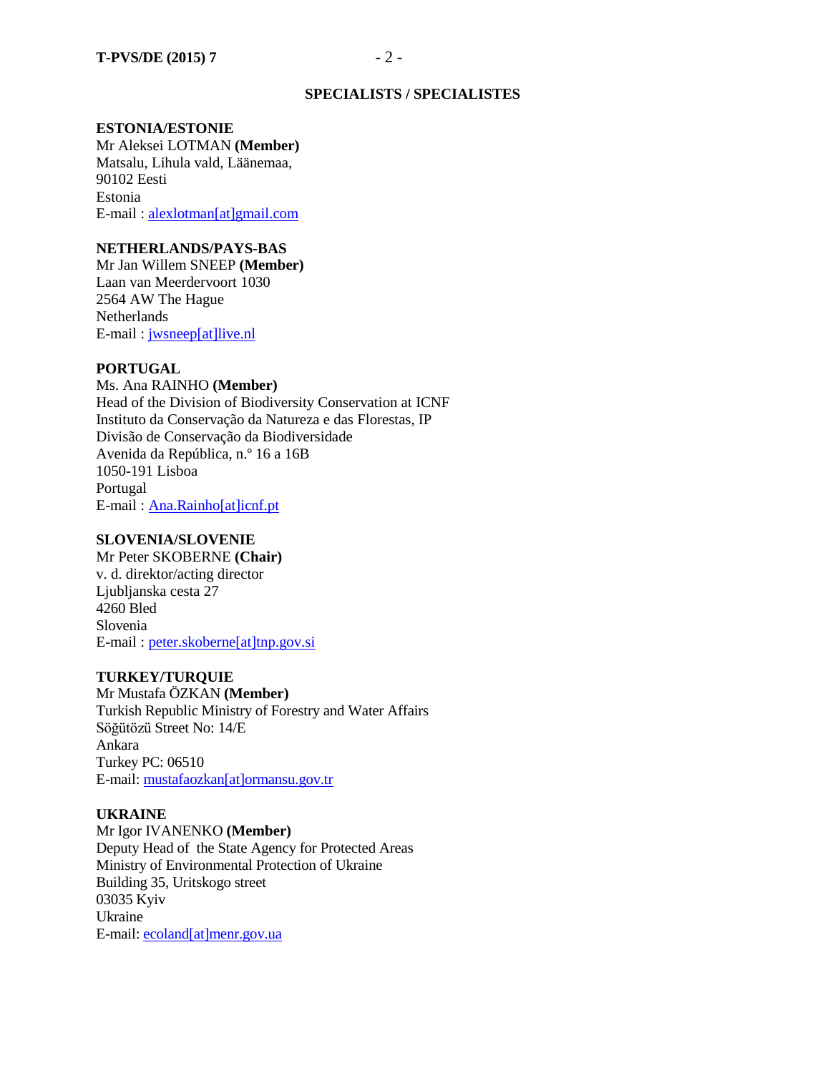## **SPECIALISTS / SPECIALISTES**

#### **ESTONIA/ESTONIE**

Mr Aleksei LOTMAN **(Member)** Matsalu, Lihula vald, Läänemaa, 90102 Eesti Estonia E-mail : [alexlotman\[at\]gmail.com](mailto:alexlotman@gmail.com)

### **NETHERLANDS/PAYS-BAS**

Mr Jan Willem SNEEP **(Member)** Laan van Meerdervoort 1030 2564 AW The Hague Netherlands E-mail : [jwsneep\[at\]live.nl](mailto:jwsneep@live.nl)

### **PORTUGAL**

Ms. Ana RAINHO **(Member)** Head of the Division of Biodiversity Conservation at ICNF Instituto da Conservação da Natureza e das Florestas, IP Divisão de Conservação da Biodiversidade Avenida da República, n.º 16 a 16B 1050-191 Lisboa Portugal E-mail : [Ana.Rainho\[at\]icnf.pt](mailto:Ana.Rainho@icnf.pt)

## **SLOVENIA/SLOVENIE**

Mr Peter SKOBERNE **(Chair)** v. d. direktor/acting director Ljublianska cesta 27 4260 Bled Slovenia E-mail : [peter.skoberne\[at\]tnp.gov.si](mailto:peter.skoberne@tnp.gov.si)

### **TURKEY/TURQUIE**

Mr Mustafa ÖZKAN **(Member)** Turkish Republic Ministry of Forestry and Water Affairs Söğütözü Street No: 14/E Ankara Turkey PC: 06510 E-mail: [mustafaozkan\[at\]ormansu.gov.tr](mailto:mustafaozkan@ormansu.gov.tr)

## **UKRAINE**

Mr Igor IVANENKO **(Member)** Deputy Head of the State Agency for Protected Areas Ministry of Environmental Protection of Ukraine Building 35, Uritskogo street 03035 Kyiv Ukraine E-mail: [ecoland\[at\]menr.gov.ua](mailto:ecoland@menr.gov.ua)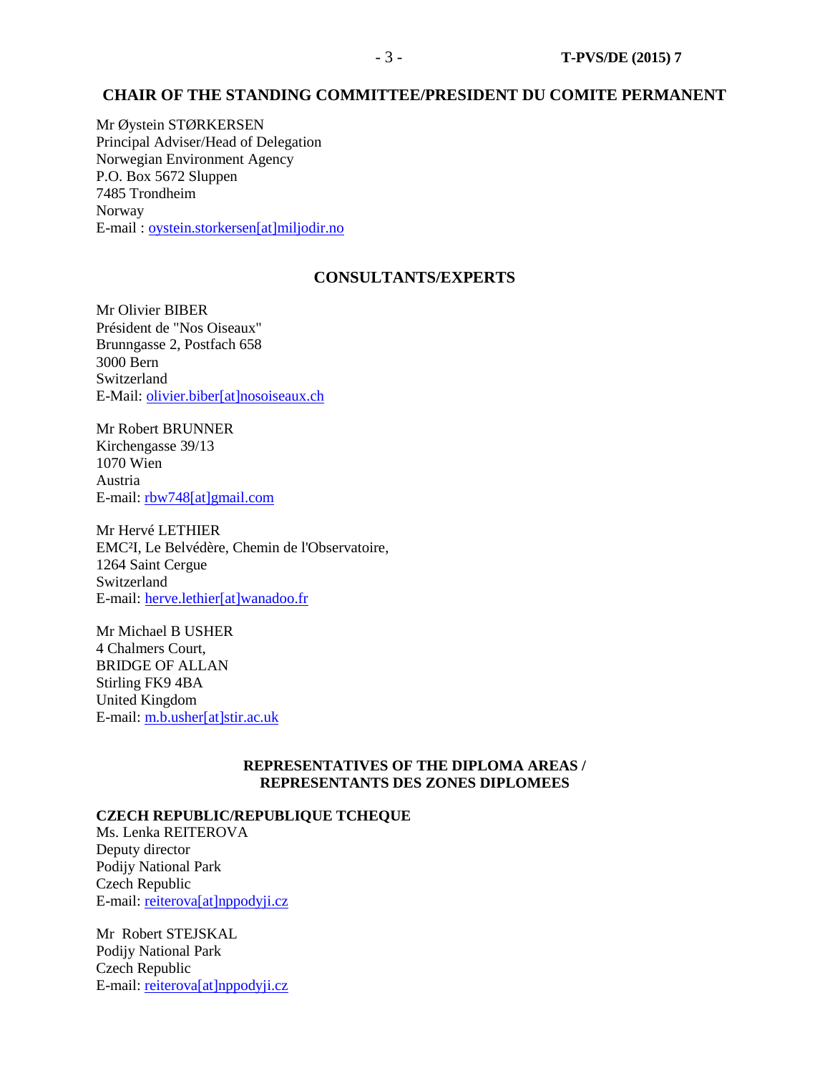## **CHAIR OF THE STANDING COMMITTEE/PRESIDENT DU COMITE PERMANENT**

Mr Øystein STØRKERSEN Principal Adviser/Head of Delegation Norwegian Environment Agency P.O. Box 5672 Sluppen 7485 Trondheim Norway E-mail : [oystein.storkersen\[at\]miljodir.no](mailto:oystein.storkersen@miljodir.no)

## **CONSULTANTS/EXPERTS**

Mr Olivier BIBER Président de "Nos Oiseaux" Brunngasse 2, Postfach 658 3000 Bern Switzerland E-Mail: [olivier.biber\[at\]nosoiseaux.ch](mailto:olivier.biber@nosoiseaux.ch)

Mr Robert BRUNNER Kirchengasse 39/13 1070 Wien Austria E-mail[: rbw748\[at\]gmail.com](mailto:rbw748@gmail.com)

Mr Hervé LETHIER EMC²I, Le Belvédère, Chemin de l'Observatoire, 1264 Saint Cergue Switzerland E-mail: [herve.lethier\[at\]wanadoo.fr](mailto:herve.lethier@wanadoo.fr)

Mr Michael B USHER 4 Chalmers Court, BRIDGE OF ALLAN Stirling FK9 4BA United Kingdom E-mail: [m.b.usher\[at\]stir.ac.uk](mailto:m.b.usher@stir.ac.uk)

### **REPRESENTATIVES OF THE DIPLOMA AREAS / REPRESENTANTS DES ZONES DIPLOMEES**

## **CZECH REPUBLIC/REPUBLIQUE TCHEQUE**

Ms. Lenka REITEROVA Deputy director Podijy National Park Czech Republic E-mail: [reiterova\[at\]nppodyji.cz](mailto:reiterova@nppodyji.cz)

Mr Robert STEJSKAL Podijy National Park Czech Republic E-mail: [reiterova\[at\]nppodyji.cz](mailto:reiterova[at]nppodyji.cz)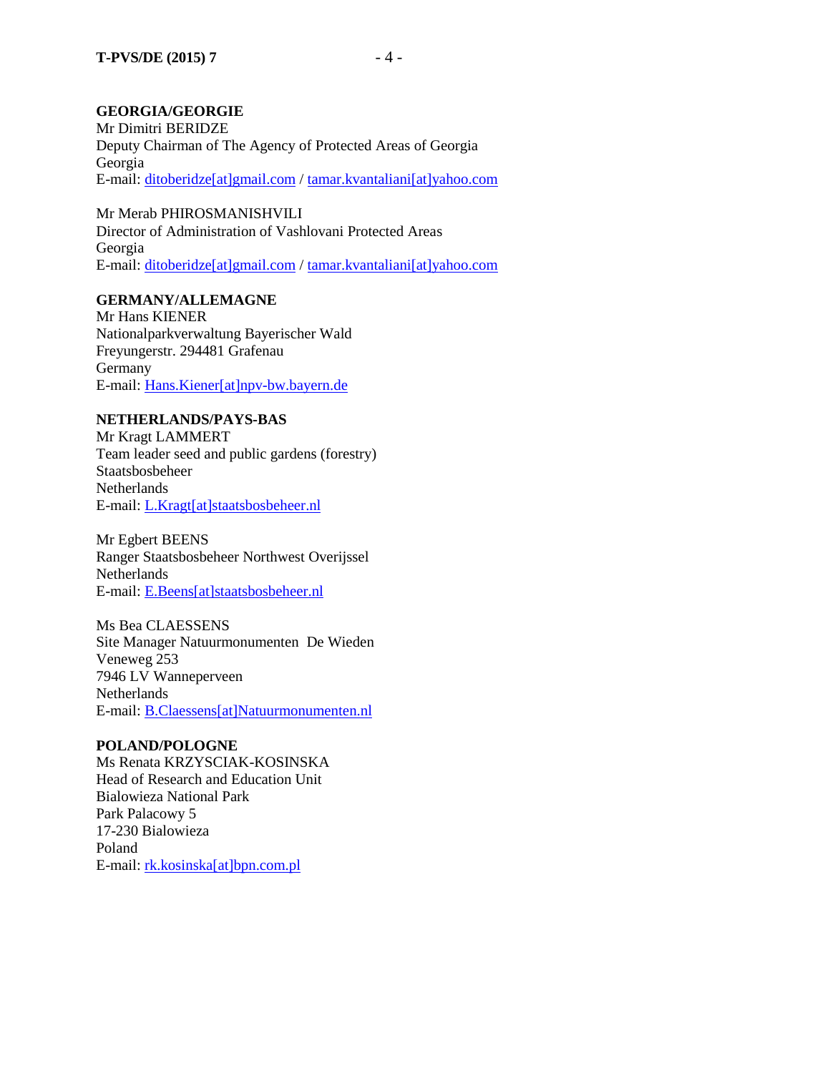# **GEORGIA/GEORGIE**

Mr Dimitri BERIDZE Deputy Chairman of The Agency of Protected Areas of Georgia Georgia E-mail: [ditoberidze\[at\]gmail.com](mailto:ditoberidze@gmail.com) / [tamar.kvantaliani\[at\]yahoo.com](mailto:tamar.kvantaliani@yahoo.com)

Mr Merab PHIROSMANISHVILI Director of Administration of Vashlovani Protected Areas Georgia E-mail: [ditoberidze\[at\]gmail.com](mailto:ditoberidze[at]gmail.com) [/ tamar.kvantaliani\[at\]yahoo.com](mailto:tamar.kvantaliani@yahoo.com)

# **GERMANY/ALLEMAGNE**

Mr Hans KIENER Nationalparkverwaltung Bayerischer Wald Freyungerstr. 294481 Grafenau Germany E-mail: [Hans.Kiener\[at\]npv-bw.bayern.de](mailto:Hans.Kiener[at]npv-bw.bayern.de)

# **NETHERLANDS/PAYS-BAS**

Mr Kragt LAMMERT Team leader seed and public gardens (forestry) Staatsbosbeheer Netherlands E-mail: [L.Kragt\[at\]staatsbosbeheer.nl](mailto:L.Kragt@staatsbosbeheer.nl)

Mr Egbert BEENS Ranger Staatsbosbeheer Northwest Overijssel Netherlands E-mail: [E.Beens\[at\]staatsbosbeheer.nl](mailto:E.Beens@staatsbosbeheer.nl)

Ms Bea CLAESSENS Site Manager Natuurmonumenten De Wieden Veneweg 253 7946 LV Wanneperveen Netherlands E-mail: B.Claessens[at]Natuurmonumenten.nl

## **POLAND/POLOGNE**

Ms Renata KRZYSCIAK-KOSINSKA Head of Research and Education Unit Bialowieza National Park Park Palacowy 5 17-230 Bialowieza Poland E-mail: rk.kosinska[at]bpn.com.pl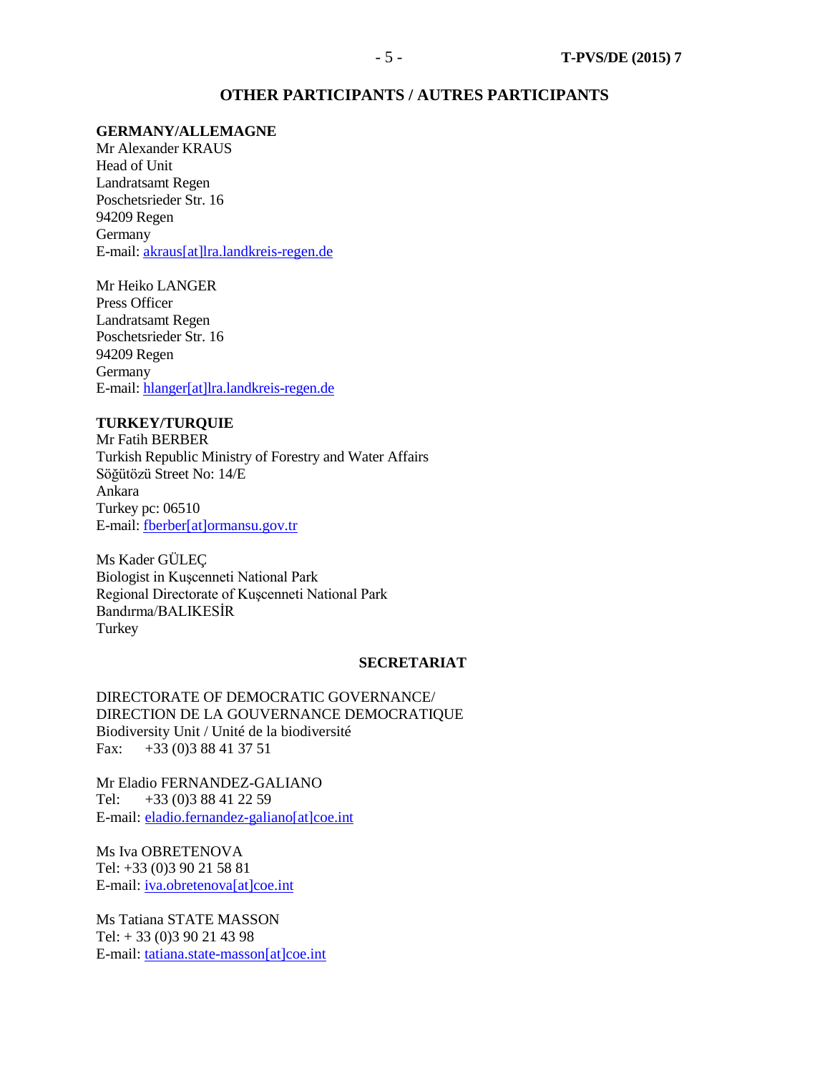#### **OTHER PARTICIPANTS / AUTRES PARTICIPANTS**

## **GERMANY/ALLEMAGNE**

Mr Alexander KRAUS Head of Unit Landratsamt Regen Poschetsrieder Str. 16 94209 Regen Germany E-mail: [akraus\[at\]lra.landkreis-regen.de](mailto:akraus@lra.landkreis-regen.de)

Mr Heiko LANGER Press Officer Landratsamt Regen Poschetsrieder Str. 16 94209 Regen Germany E-mail: [hlanger\[at\]lra.landkreis-regen.de](mailto:hlanger@lra.landkreis-regen.de)

#### **TURKEY/TURQUIE**

Mr Fatih BERBER Turkish Republic Ministry of Forestry and Water Affairs Söğütözü Street No: 14/E Ankara Turkey pc: 06510 E-mail: fberber[at]ormansu.gov.tr

Ms Kader GÜLEÇ Biologist in Kuşcenneti National Park Regional Directorate of Kuşcenneti National Park Bandırma/BALIKESİR Turkey

#### **SECRETARIAT**

DIRECTORATE OF DEMOCRATIC GOVERNANCE/ DIRECTION DE LA GOUVERNANCE DEMOCRATIQUE Biodiversity Unit / Unité de la biodiversité Fax: +33 (0)3 88 41 37 51

Mr Eladio FERNANDEZ-GALIANO Tel:  $+33(0)388412259$ E-mail: [eladio.fernandez-galiano\[at\]coe.int](mailto:eladio.fernandez-galiano@coe.int)

Ms Iva OBRETENOVA Tel: +33 (0)3 90 21 58 81 E-mail: *iva.obretenova*[at]coe.int

Ms Tatiana STATE MASSON Tel: + 33 (0)3 90 21 43 98 E-mail: [tatiana.state-masson\[at\]coe.int](mailto:tatiana.state-masson@coe.int)